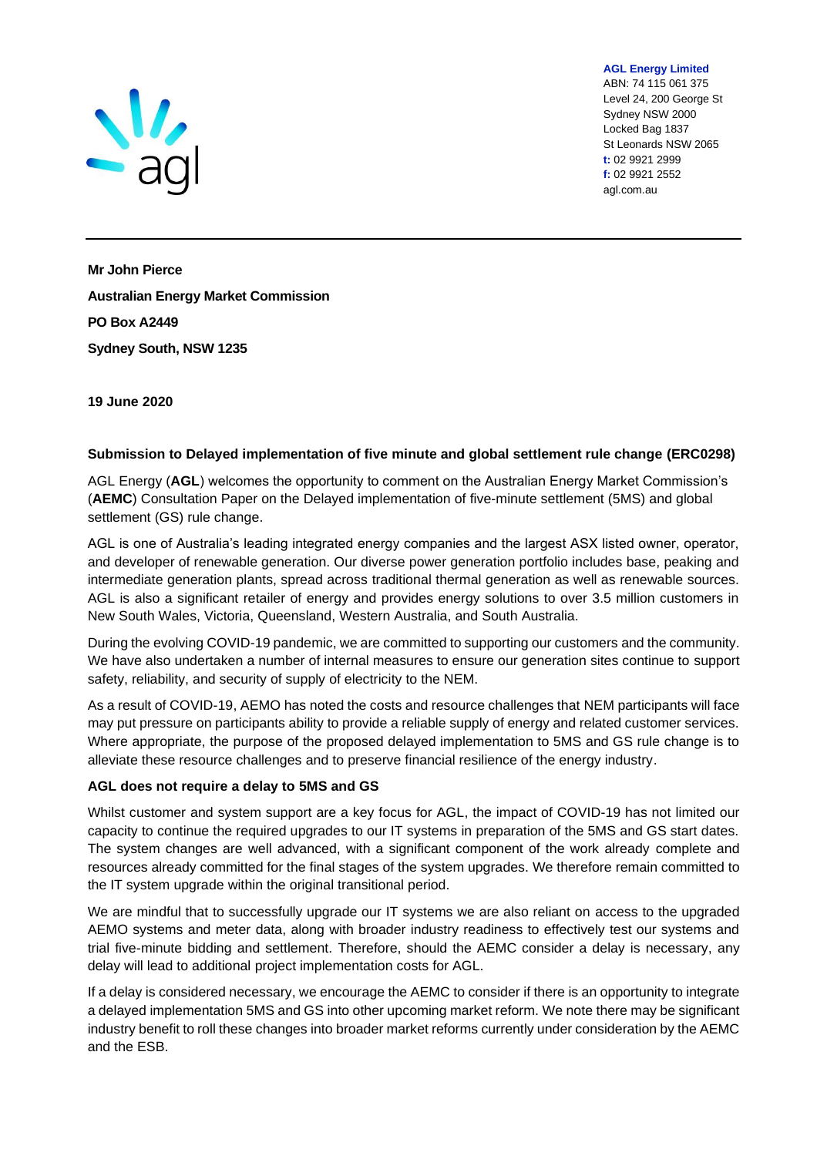

ABN: 74 115 061 375 Level 24, 200 George St Sydney NSW 2000 Locked Bag 1837 St Leonards NSW 2065 **t:** 02 9921 2999 **f:** 02 9921 2552 agl.com.au

**AGL Energy Limited**

**Mr John Pierce Australian Energy Market Commission PO Box A2449 Sydney South, NSW 1235**

**19 June 2020**

## **Submission to Delayed implementation of five minute and global settlement rule change (ERC0298)**

AGL Energy (**AGL**) welcomes the opportunity to comment on the Australian Energy Market Commission's (**AEMC**) Consultation Paper on the Delayed implementation of five-minute settlement (5MS) and global settlement (GS) rule change.

AGL is one of Australia's leading integrated energy companies and the largest ASX listed owner, operator, and developer of renewable generation. Our diverse power generation portfolio includes base, peaking and intermediate generation plants, spread across traditional thermal generation as well as renewable sources. AGL is also a significant retailer of energy and provides energy solutions to over 3.5 million customers in New South Wales, Victoria, Queensland, Western Australia, and South Australia.

During the evolving COVID-19 pandemic, we are committed to supporting our customers and the community. We have also undertaken a number of internal measures to ensure our generation sites continue to support safety, reliability, and security of supply of electricity to the NEM.

As a result of COVID-19, AEMO has noted the costs and resource challenges that NEM participants will face may put pressure on participants ability to provide a reliable supply of energy and related customer services. Where appropriate, the purpose of the proposed delayed implementation to 5MS and GS rule change is to alleviate these resource challenges and to preserve financial resilience of the energy industry.

## **AGL does not require a delay to 5MS and GS**

Whilst customer and system support are a key focus for AGL, the impact of COVID-19 has not limited our capacity to continue the required upgrades to our IT systems in preparation of the 5MS and GS start dates. The system changes are well advanced, with a significant component of the work already complete and resources already committed for the final stages of the system upgrades. We therefore remain committed to the IT system upgrade within the original transitional period.

We are mindful that to successfully upgrade our IT systems we are also reliant on access to the upgraded AEMO systems and meter data, along with broader industry readiness to effectively test our systems and trial five-minute bidding and settlement. Therefore, should the AEMC consider a delay is necessary, any delay will lead to additional project implementation costs for AGL.

If a delay is considered necessary, we encourage the AEMC to consider if there is an opportunity to integrate a delayed implementation 5MS and GS into other upcoming market reform. We note there may be significant industry benefit to roll these changes into broader market reforms currently under consideration by the AEMC and the ESB.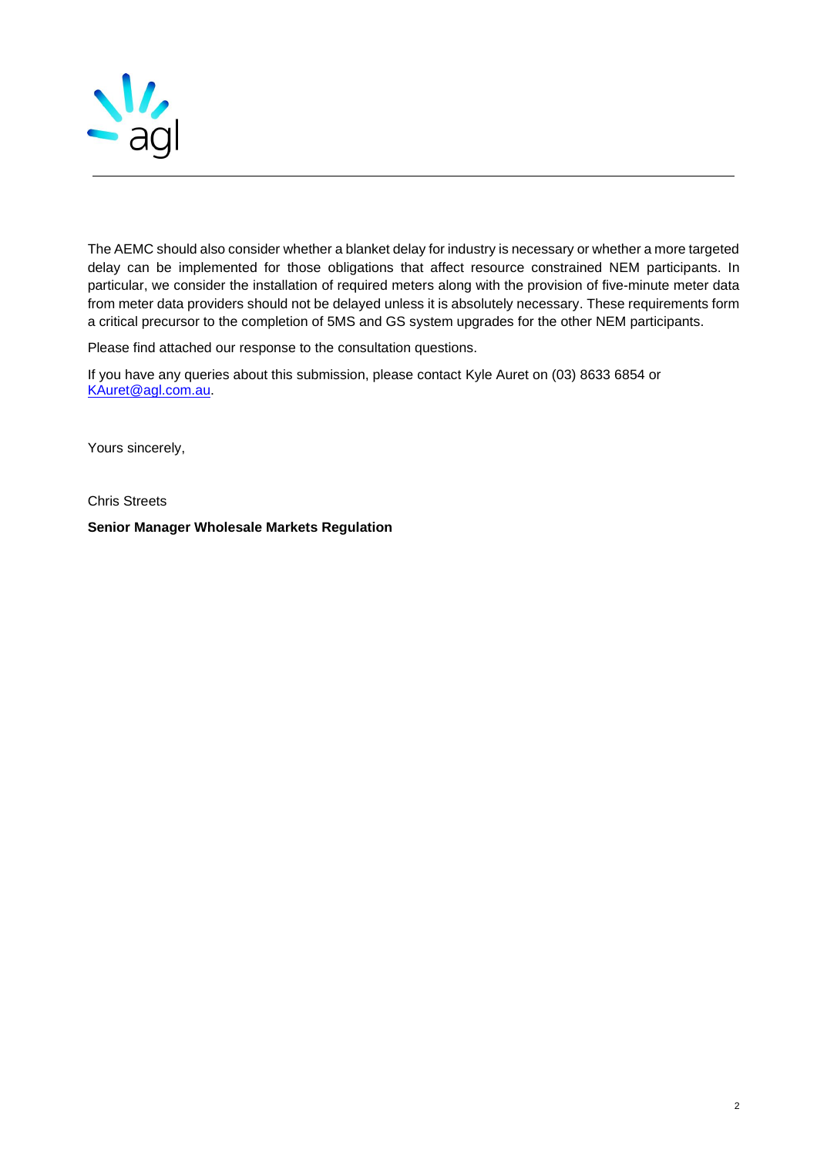

The AEMC should also consider whether a blanket delay for industry is necessary or whether a more targeted delay can be implemented for those obligations that affect resource constrained NEM participants. In particular, we consider the installation of required meters along with the provision of five-minute meter data from meter data providers should not be delayed unless it is absolutely necessary. These requirements form a critical precursor to the completion of 5MS and GS system upgrades for the other NEM participants.

Please find attached our response to the consultation questions.

If you have any queries about this submission, please contact Kyle Auret on (03) 8633 6854 or [KAuret@agl.com.au.](mailto:KAuret@agl.com.au)

Yours sincerely,

Chris Streets

**Senior Manager Wholesale Markets Regulation**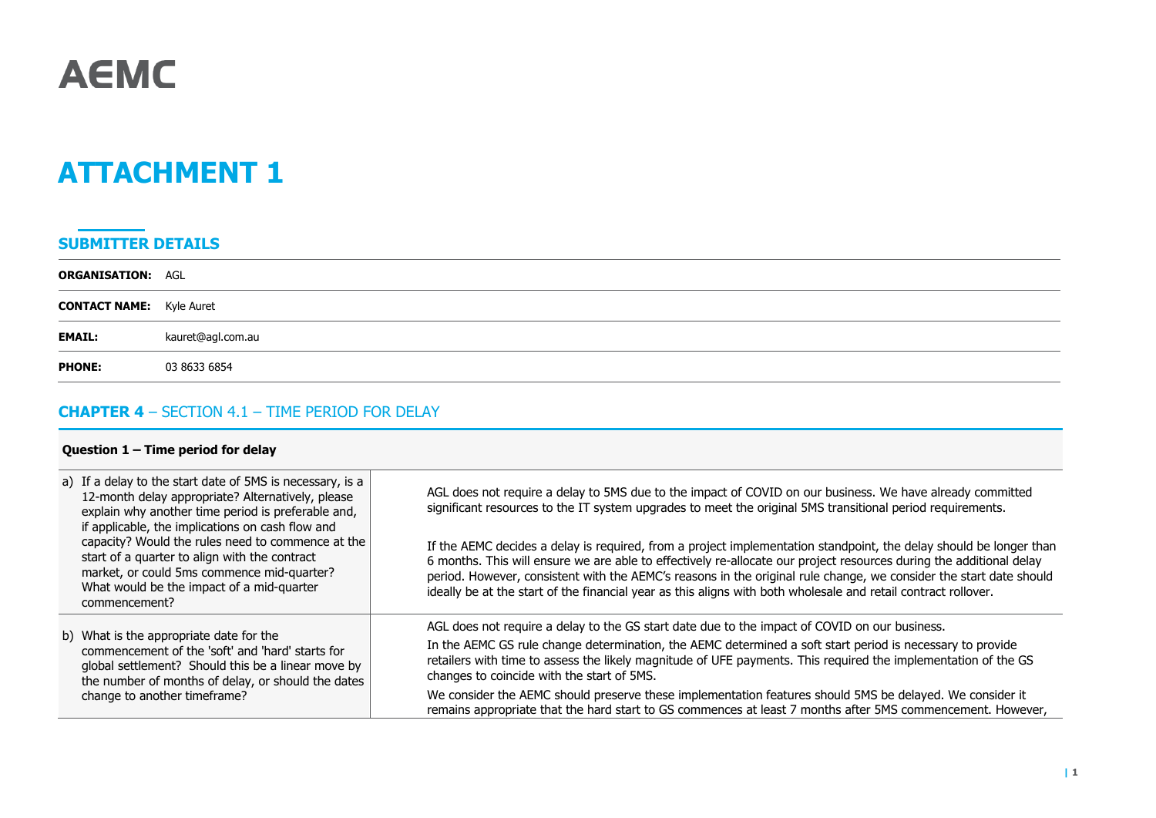

# **ATTACHMENT 1**

## **SUBMITTER DETAILS**

| <b>ORGANISATION: AGL</b>        |                   |
|---------------------------------|-------------------|
| <b>CONTACT NAME:</b> Kyle Auret |                   |
| <b>EMAIL:</b>                   | kauret@agl.com.au |
| <b>PHONE:</b>                   | 03 8633 6854      |

# **CHAPTER 4** – SECTION 4.1 – TIME PERIOD FOR DELAY

## **Question 1 – Time period for delay**

| a) If a delay to the start date of 5MS is necessary, is a<br>12-month delay appropriate? Alternatively, please<br>explain why another time period is preferable and,<br>if applicable, the implications on cash flow and<br>capacity? Would the rules need to commence at the<br>start of a quarter to align with the contract<br>market, or could 5ms commence mid-quarter?<br>What would be the impact of a mid-quarter<br>commencement? | AGL does not require a delay to 5MS due to the impact of COVID on our business. We have already committed<br>significant resources to the IT system upgrades to meet the original 5MS transitional period requirements.<br>If the AEMC decides a delay is required, from a project implementation standpoint, the delay should be longer than<br>6 months. This will ensure we are able to effectively re-allocate our project resources during the additional delay<br>period. However, consistent with the AEMC's reasons in the original rule change, we consider the start date should<br>ideally be at the start of the financial year as this aligns with both wholesale and retail contract rollover. |
|--------------------------------------------------------------------------------------------------------------------------------------------------------------------------------------------------------------------------------------------------------------------------------------------------------------------------------------------------------------------------------------------------------------------------------------------|--------------------------------------------------------------------------------------------------------------------------------------------------------------------------------------------------------------------------------------------------------------------------------------------------------------------------------------------------------------------------------------------------------------------------------------------------------------------------------------------------------------------------------------------------------------------------------------------------------------------------------------------------------------------------------------------------------------|
| b) What is the appropriate date for the<br>commencement of the 'soft' and 'hard' starts for<br>global settlement? Should this be a linear move by<br>the number of months of delay, or should the dates<br>change to another timeframe?                                                                                                                                                                                                    | AGL does not require a delay to the GS start date due to the impact of COVID on our business.                                                                                                                                                                                                                                                                                                                                                                                                                                                                                                                                                                                                                |
|                                                                                                                                                                                                                                                                                                                                                                                                                                            | In the AEMC GS rule change determination, the AEMC determined a soft start period is necessary to provide<br>retailers with time to assess the likely magnitude of UFE payments. This required the implementation of the GS<br>changes to coincide with the start of 5MS.                                                                                                                                                                                                                                                                                                                                                                                                                                    |
|                                                                                                                                                                                                                                                                                                                                                                                                                                            | We consider the AEMC should preserve these implementation features should 5MS be delayed. We consider it<br>remains appropriate that the hard start to GS commences at least 7 months after 5MS commencement. However,                                                                                                                                                                                                                                                                                                                                                                                                                                                                                       |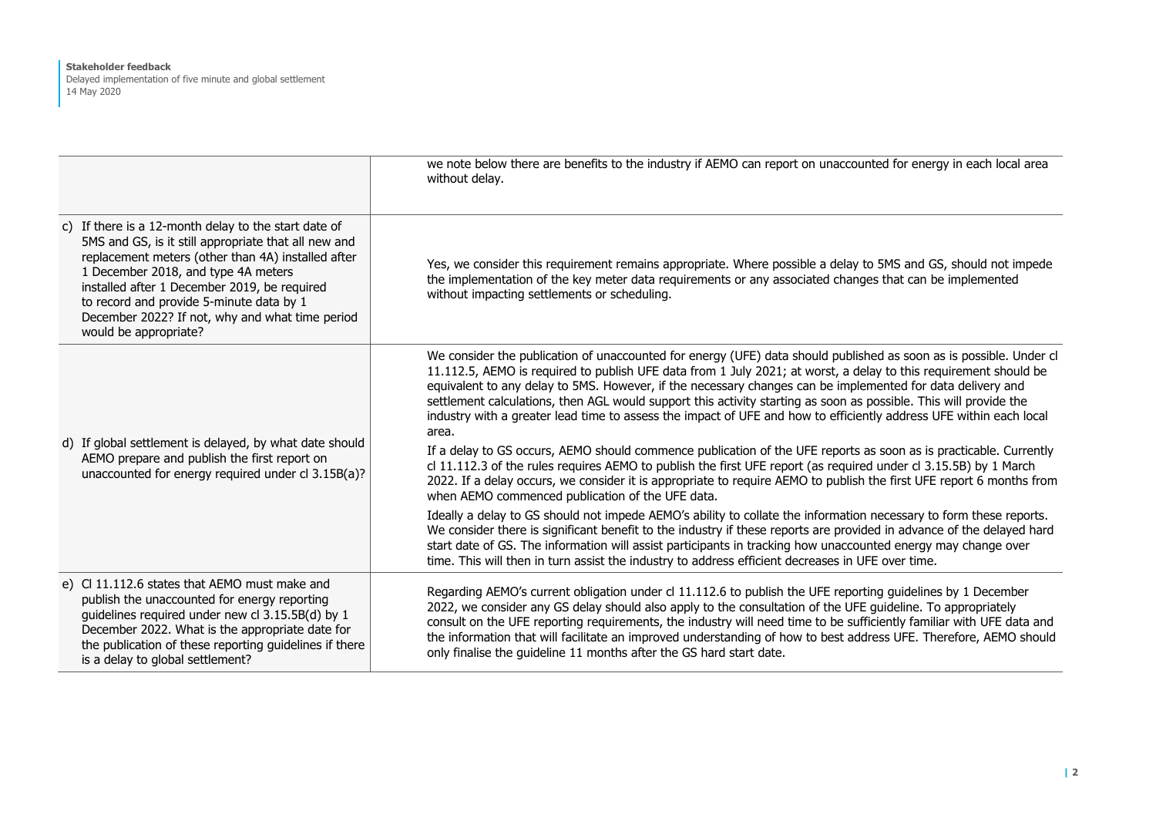#### **Stakeholder feedback**

Delayed implementation of five minute and global settlement 14 May 2020

|                                                                                                                                                                                                                                                                                                                                                                                   | we note below there are benefits to the industry if AEMO can report on unaccounted for energy in each local area<br>without delay.                                                                                                                                                                                                                                                                                                                                                                                                                                                                                                                                                                                                                                                                                                                                                                                                                                                                                                                                                                                                                                                                                                                                                                                                                                                                                                                                                                 |
|-----------------------------------------------------------------------------------------------------------------------------------------------------------------------------------------------------------------------------------------------------------------------------------------------------------------------------------------------------------------------------------|----------------------------------------------------------------------------------------------------------------------------------------------------------------------------------------------------------------------------------------------------------------------------------------------------------------------------------------------------------------------------------------------------------------------------------------------------------------------------------------------------------------------------------------------------------------------------------------------------------------------------------------------------------------------------------------------------------------------------------------------------------------------------------------------------------------------------------------------------------------------------------------------------------------------------------------------------------------------------------------------------------------------------------------------------------------------------------------------------------------------------------------------------------------------------------------------------------------------------------------------------------------------------------------------------------------------------------------------------------------------------------------------------------------------------------------------------------------------------------------------------|
| c) If there is a 12-month delay to the start date of<br>5MS and GS, is it still appropriate that all new and<br>replacement meters (other than 4A) installed after<br>1 December 2018, and type 4A meters<br>installed after 1 December 2019, be required<br>to record and provide 5-minute data by 1<br>December 2022? If not, why and what time period<br>would be appropriate? | Yes, we consider this requirement remains appropriate. Where possible a delay to 5MS and GS, should not impede<br>the implementation of the key meter data requirements or any associated changes that can be implemented<br>without impacting settlements or scheduling.                                                                                                                                                                                                                                                                                                                                                                                                                                                                                                                                                                                                                                                                                                                                                                                                                                                                                                                                                                                                                                                                                                                                                                                                                          |
| d) If global settlement is delayed, by what date should<br>AEMO prepare and publish the first report on<br>unaccounted for energy required under cl 3.15B(a)?                                                                                                                                                                                                                     | We consider the publication of unaccounted for energy (UFE) data should published as soon as is possible. Under cl<br>11.112.5, AEMO is required to publish UFE data from 1 July 2021; at worst, a delay to this requirement should be<br>equivalent to any delay to 5MS. However, if the necessary changes can be implemented for data delivery and<br>settlement calculations, then AGL would support this activity starting as soon as possible. This will provide the<br>industry with a greater lead time to assess the impact of UFE and how to efficiently address UFE within each local<br>area.<br>If a delay to GS occurs, AEMO should commence publication of the UFE reports as soon as is practicable. Currently<br>cl 11.112.3 of the rules requires AEMO to publish the first UFE report (as required under cl 3.15.5B) by 1 March<br>2022. If a delay occurs, we consider it is appropriate to require AEMO to publish the first UFE report 6 months from<br>when AEMO commenced publication of the UFE data.<br>Ideally a delay to GS should not impede AEMO's ability to collate the information necessary to form these reports.<br>We consider there is significant benefit to the industry if these reports are provided in advance of the delayed hard<br>start date of GS. The information will assist participants in tracking how unaccounted energy may change over<br>time. This will then in turn assist the industry to address efficient decreases in UFE over time. |
| e) CI 11.112.6 states that AEMO must make and<br>publish the unaccounted for energy reporting<br>guidelines required under new cl 3.15.5B(d) by 1<br>December 2022. What is the appropriate date for<br>the publication of these reporting guidelines if there<br>is a delay to global settlement?                                                                                | Regarding AEMO's current obligation under cl 11.112.6 to publish the UFE reporting guidelines by 1 December<br>2022, we consider any GS delay should also apply to the consultation of the UFE guideline. To appropriately<br>consult on the UFE reporting requirements, the industry will need time to be sufficiently familiar with UFE data and<br>the information that will facilitate an improved understanding of how to best address UFE. Therefore, AEMO should<br>only finalise the guideline 11 months after the GS hard start date.                                                                                                                                                                                                                                                                                                                                                                                                                                                                                                                                                                                                                                                                                                                                                                                                                                                                                                                                                     |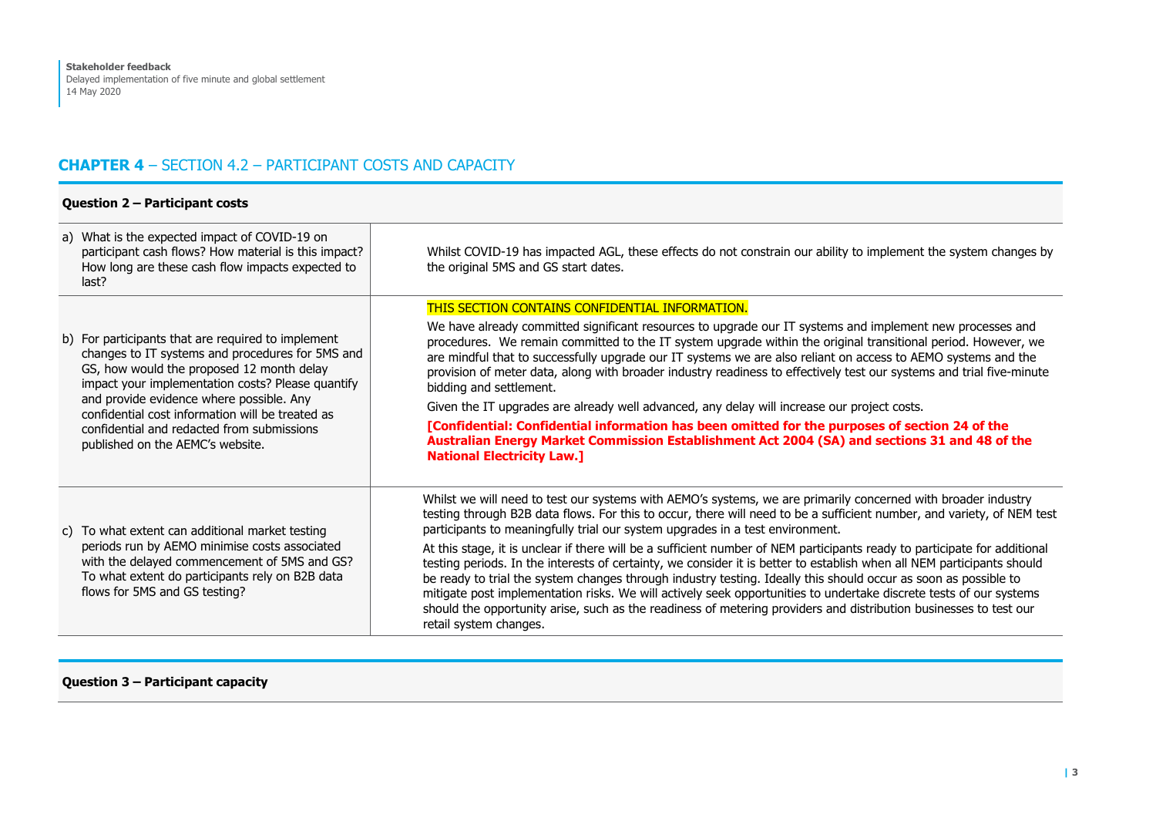# **CHAPTER 4** – SECTION 4.2 – PARTICIPANT COSTS AND CAPACITY

## **Question 2 – Participant costs**

| a) What is the expected impact of COVID-19 on<br>participant cash flows? How material is this impact?<br>How long are these cash flow impacts expected to<br>last?                                                                                                                                                                                                                         | Whilst COVID-19 has impacted AGL, these effects do not constrain our ability to implement the system changes by<br>the original 5MS and GS start dates.                                                                                                                                                                                                                                                                                                                                                                                                                                                                                                                                                                                                                                                                                                                                                                                                                 |
|--------------------------------------------------------------------------------------------------------------------------------------------------------------------------------------------------------------------------------------------------------------------------------------------------------------------------------------------------------------------------------------------|-------------------------------------------------------------------------------------------------------------------------------------------------------------------------------------------------------------------------------------------------------------------------------------------------------------------------------------------------------------------------------------------------------------------------------------------------------------------------------------------------------------------------------------------------------------------------------------------------------------------------------------------------------------------------------------------------------------------------------------------------------------------------------------------------------------------------------------------------------------------------------------------------------------------------------------------------------------------------|
| b) For participants that are required to implement<br>changes to IT systems and procedures for 5MS and<br>GS, how would the proposed 12 month delay<br>impact your implementation costs? Please quantify<br>and provide evidence where possible. Any<br>confidential cost information will be treated as<br>confidential and redacted from submissions<br>published on the AEMC's website. | THIS SECTION CONTAINS CONFIDENTIAL INFORMATION.<br>We have already committed significant resources to upgrade our IT systems and implement new processes and<br>procedures. We remain committed to the IT system upgrade within the original transitional period. However, we<br>are mindful that to successfully upgrade our IT systems we are also reliant on access to AEMO systems and the<br>provision of meter data, along with broader industry readiness to effectively test our systems and trial five-minute<br>bidding and settlement.<br>Given the IT upgrades are already well advanced, any delay will increase our project costs.<br>[Confidential: Confidential information has been omitted for the purposes of section 24 of the<br>Australian Energy Market Commission Establishment Act 2004 (SA) and sections 31 and 48 of the<br><b>National Electricity Law.]</b>                                                                                |
| c) To what extent can additional market testing<br>periods run by AEMO minimise costs associated<br>with the delayed commencement of 5MS and GS?<br>To what extent do participants rely on B2B data<br>flows for 5MS and GS testing?                                                                                                                                                       | Whilst we will need to test our systems with AEMO's systems, we are primarily concerned with broader industry<br>testing through B2B data flows. For this to occur, there will need to be a sufficient number, and variety, of NEM test<br>participants to meaningfully trial our system upgrades in a test environment.<br>At this stage, it is unclear if there will be a sufficient number of NEM participants ready to participate for additional<br>testing periods. In the interests of certainty, we consider it is better to establish when all NEM participants should<br>be ready to trial the system changes through industry testing. Ideally this should occur as soon as possible to<br>mitigate post implementation risks. We will actively seek opportunities to undertake discrete tests of our systems<br>should the opportunity arise, such as the readiness of metering providers and distribution businesses to test our<br>retail system changes. |

## **Question 3 – Participant capacity**